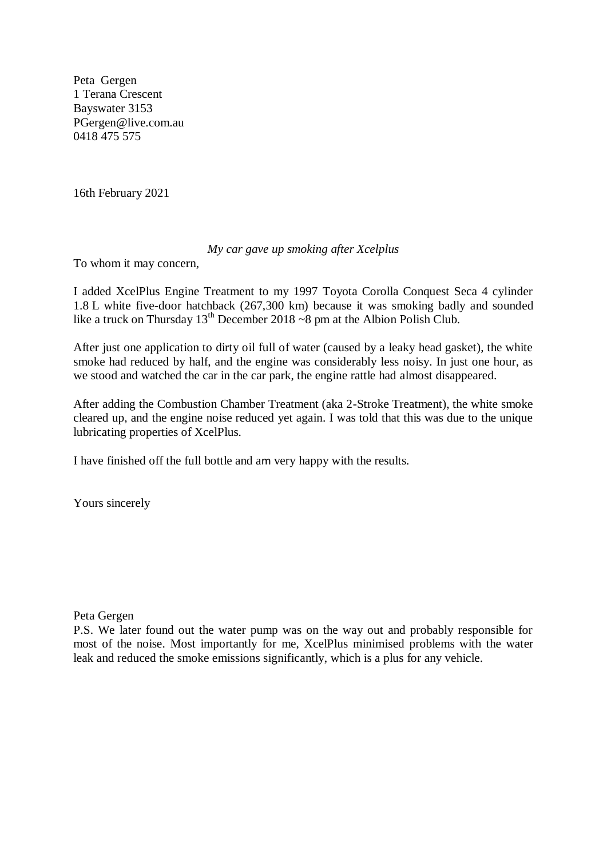Peta Gergen 1 Terana Crescent Bayswater 3153 PGergen@live.com.au 0418 475 575

16th February 2021

## *My car gave up smoking after Xcelplus*

To whom it may concern,

I added XcelPlus Engine Treatment to my 1997 Toyota Corolla Conquest Seca 4 cylinder 1.8 L white five-door hatchback (267,300 km) because it was smoking badly and sounded like a truck on Thursday  $13^{th}$  December 2018 ~8 pm at the Albion Polish Club.

After just one application to dirty oil full of water (caused by a leaky head gasket), the white smoke had reduced by half, and the engine was considerably less noisy. In just one hour, as we stood and watched the car in the car park, the engine rattle had almost disappeared.

After adding the Combustion Chamber Treatment (aka 2-Stroke Treatment), the white smoke cleared up, and the engine noise reduced yet again. I was told that this was due to the unique lubricating properties of XcelPlus.

I have finished off the full bottle and am very happy with the results.

Yours sincerely

## Peta Gergen

P.S. We later found out the water pump was on the way out and probably responsible for most of the noise. Most importantly for me, XcelPlus minimised problems with the water leak and reduced the smoke emissions significantly, which is a plus for any vehicle.